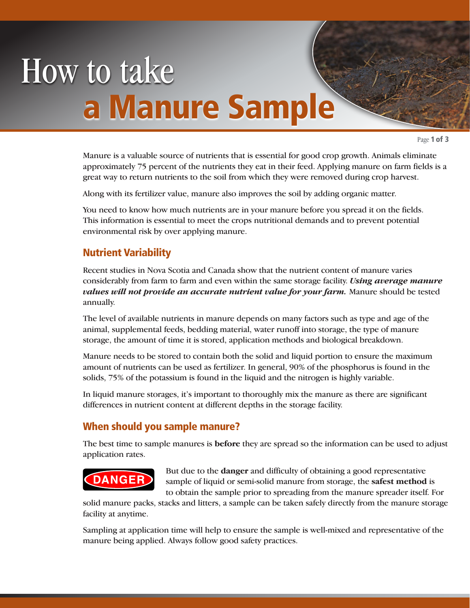# How to take a Manure Sample

Page 1 of 3

Manure is a valuable source of nutrients that is essential for good crop growth. Animals eliminate approximately 75 percent of the nutrients they eat in their feed. Applying manure on farm fields is a great way to return nutrients to the soil from which they were removed during crop harvest.

Along with its fertilizer value, manure also improves the soil by adding organic matter.

You need to know how much nutrients are in your manure before you spread it on the fields. This information is essential to meet the crops nutritional demands and to prevent potential environmental risk by over applying manure.

### Nutrient Variability

Recent studies in Nova Scotia and Canada show that the nutrient content of manure varies considerably from farm to farm and even within the same storage facility. *Using average manure*  values will not provide an accurate nutrient value for your farm. Manure should be tested annually.

The level of available nutrients in manure depends on many factors such as type and age of the animal, supplemental feeds, bedding material, water runoff into storage, the type of manure storage, the amount of time it is stored, application methods and biological breakdown.

Manure needs to be stored to contain both the solid and liquid portion to ensure the maximum amount of nutrients can be used as fertilizer. In general, 90% of the phosphorus is found in the solids, 75% of the potassium is found in the liquid and the nitrogen is highly variable.

In liquid manure storages, it's important to thoroughly mix the manure as there are significant differences in nutrient content at different depths in the storage facility.

### When should you sample manure?

The best time to sample manures is **before** they are spread so the information can be used to adjust application rates.

## **DANGER**

But due to the **danger** and difficulty of obtaining a good representative sample of liquid or semi-solid manure from storage, the **safest method** is to obtain the sample prior to spreading from the manure spreader itself. For

solid manure packs, stacks and litters, a sample can be taken safely directly from the manure storage facility at anytime.

Sampling at application time will help to ensure the sample is well-mixed and representative of the manure being applied. Always follow good safety practices.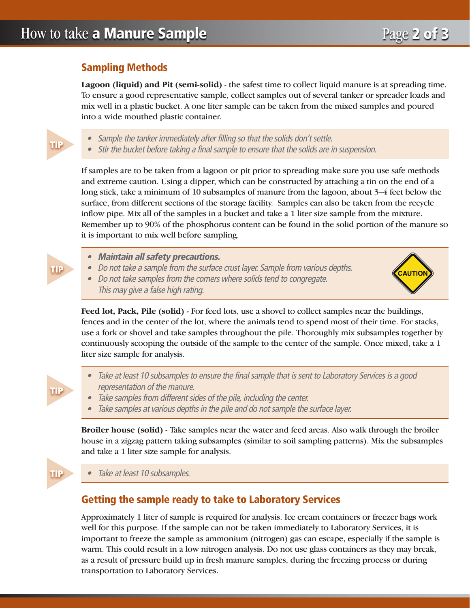**TIP** 

**TIP** 

uВ

шB

#### Sampling Methods

**Lagoon (liquid) and Pit (semi-solid)** - the safest time to collect liquid manure is at spreading time. To ensure a good representative sample, collect samples out of several tanker or spreader loads and mix well in a plastic bucket. A one liter sample can be taken from the mixed samples and poured into a wide mouthed plastic container.

• Sample the tanker immediately after filling so that the solids don't settle.

• Stir the bucket before taking a final sample to ensure that the solids are in suspension.

If samples are to be taken from a lagoon or pit prior to spreading make sure you use safe methods and extreme caution. Using a dipper, which can be constructed by attaching a tin on the end of a long stick, take a minimum of 10 subsamples of manure from the lagoon, about 3–4 feet below the surface, from different sections of the storage facility. Samples can also be taken from the recycle inflow pipe. Mix all of the samples in a bucket and take a 1 liter size sample from the mixture. Remember up to 90% of the phosphorus content can be found in the solid portion of the manure so it is important to mix well before sampling.

- • Maintain all safety precautions.
- Do not take a sample from the surface crust layer. Sample from various depths.
- Do not take samples from the corners where solids tend to congregate. This may give <sup>a</sup> false high rating.



**Feed lot, Pack, Pile (solid)** - For feed lots, use a shovel to collect samples near the buildings, fences and in the center of the lot, where the animals tend to spend most of their time. For stacks, use a fork or shovel and take samples throughout the pile. Thoroughly mix subsamples together by continuously scooping the outside of the sample to the center of the sample. Once mixed, take a 1 liter size sample for analysis.

- Take at least 10 subsamples to ensure the final sample that is sent to Laboratory Services is a good representation of the manure.
- Take samples from different sides of the pile, including the center.
- Take samples at various depths in the pile and do not sample the surface layer.

**Broiler house (solid)** - Take samples near the water and feed areas. Also walk through the broiler house in a zigzag pattern taking subsamples (similar to soil sampling patterns). Mix the subsamples and take a 1 liter size sample for analysis.

### Getting the sample ready to take to Laboratory Services

Approximately 1 liter of sample is required for analysis. Ice cream containers or freezer bags work well for this purpose. If the sample can not be taken immediately to Laboratory Services, it is important to freeze the sample as ammonium (nitrogen) gas can escape, especially if the sample is warm. This could result in a low nitrogen analysis. Do not use glass containers as they may break, as a result of pressure build up in fresh manure samples, during the freezing process or during transportation to Laboratory Services.

Take at least 10 subsamples.